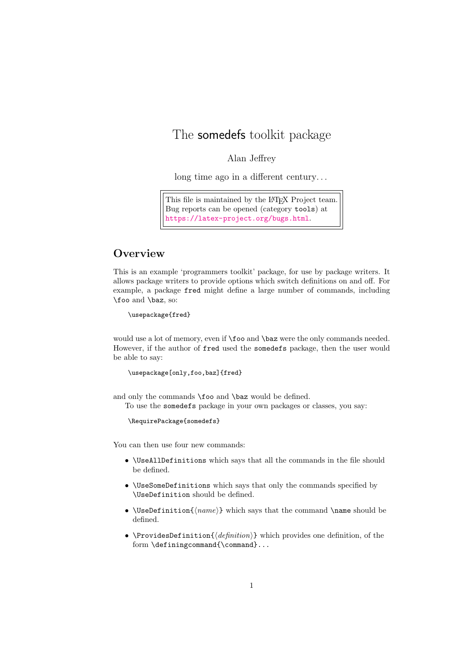## The somedefs toolkit package

## Alan Jeffrey

long time ago in a different century. . .

This file is maintained by the L<sup>AT</sup>EX Project team. Bug reports can be opened (category tools) at <https://latex-project.org/bugs.html>.

## **Overview**

This is an example 'programmers toolkit' package, for use by package writers. It allows package writers to provide options which switch definitions on and off. For example, a package fred might define a large number of commands, including \foo and \baz, so:

\usepackage{fred}

would use a lot of memory, even if  $\text{}_o$  and  $\text{ }$   $\text{ }$   $\text{ }$  baz were the only commands needed. However, if the author of fred used the somedefs package, then the user would be able to say:

```
\usepackage[only,foo,baz]{fred}
```
and only the commands \foo and \baz would be defined.

To use the somedefs package in your own packages or classes, you say:

\RequirePackage{somedefs}

You can then use four new commands:

- \UseAllDefinitions which says that all the commands in the file should be defined.
- \UseSomeDefinitions which says that only the commands specified by \UseDefinition should be defined.
- \UseDefinition{ $\langle name \rangle$ } which says that the command \name should be defined.
- \ProvidesDefinition{⟨definition⟩} which provides one definition, of the form \definingcommand{\command}...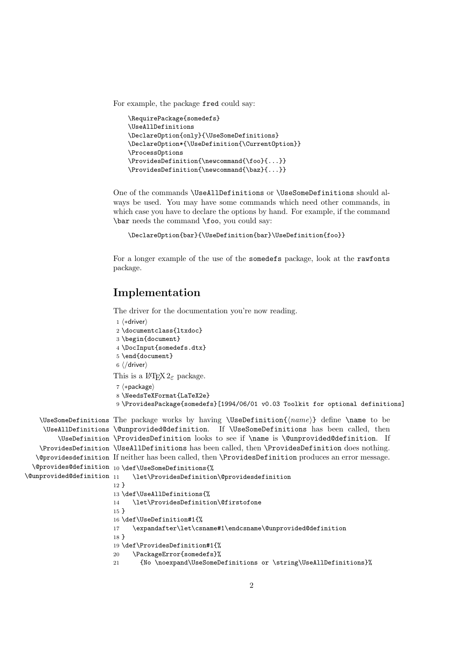For example, the package fred could say:

```
\RequirePackage{somedefs}
\UseAllDefinitions
\DeclareOption{only}{\UseSomeDefinitions}
\DeclareOption*{\UseDefinition{\CurrentOption}}
\ProcessOptions
\ProvidesDefinition{\newcommand{\foo}{...}}
\ProvidesDefinition{\newcommand{\baz}{...}}
```
One of the commands \UseAllDefinitions or \UseSomeDefinitions should always be used. You may have some commands which need other commands, in which case you have to declare the options by hand. For example, if the command \bar needs the command \foo, you could say:

\DeclareOption{bar}{\UseDefinition{bar}\UseDefinition{foo}}

For a longer example of the use of the somedefs package, look at the rawfonts package.

## Implementation

The driver for the documentation you're now reading.

```
1 ⟨∗driver⟩
 2 \documentclass{ltxdoc}
3 \begin{document}
4 \DocInput{somedefs.dtx}
 5 \end{document}
6 ⟨/driver⟩
This is a L^{\alpha}T_{F}X 2_{\varepsilon} package.
 7 ⟨∗package⟩
 8 \NeedsTeXFormat{LaTeX2e}
```

```
9 \ProvidesPackage{somedefs}[1994/06/01 v0.03 Toolkit for optional definitions]
```

```
\UseSomeDefinitions The package works by having \UseDefinition{\langle name \rangle} define \name to be
     \UseAllDefinitions
\@unprovided@definition. If \UseSomeDefinitions has been called, then
         \UseDefinition
\ProvidesDefinition looks to see if \name is \@unprovided@definition. If
    \ProvidesDefinition
\UseAllDefinitions has been called, then \ProvidesDefinition does nothing.
   \@providesdefinition
If neither has been called, then \ProvidesDefinition produces an error message.
  \@provides@definition
10 \def\UseSomeDefinitions{%
\@unprovided@definition
                             \let\ProvidesDefinition\@providesdefinition
                        12 }
                        13 \def\UseAllDefinitions{%
                        14 \let\ProvidesDefinition\@firstofone
                        15 }
                        16 \def\UseDefinition#1{%
                       17 \expandafter\let\csname#1\endcsname\@unprovided@definition
                        18 }
                        19 \def\ProvidesDefinition#1{%
                       20 \PackageError{somedefs}%
```